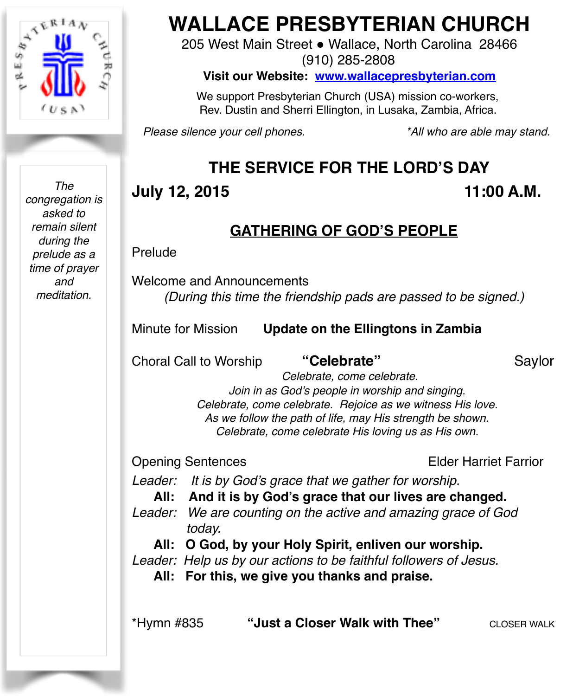

*The congregation is asked to remain silent during the prelude as a time of prayer and meditation.*

# **WALLACE PRESBYTERIAN CHURCH**

205 West Main Street . Wallace, North Carolina 28466 (910) 285-2808

**Visit our Website: [www.wallacepresbyterian.com](http://www.wallacepresbyterian.com)**

 We support Presbyterian Church (USA) mission co-workers, Rev. Dustin and Sherri Ellington, in Lusaka, Zambia, Africa.

*Please silence your cell phones. \*All who are able may stand.*

# **THE SERVICE FOR THE LORD'S DAY**

# **July 12, 2015** 11:00 A.M.

# **GATHERING OF GOD'S PEOPLE**

Prelude

Welcome and Announcements *(During this time the friendship pads are passed to be signed.)*

Minute for Mission **Update on the Ellingtons in Zambia**

Choral Call to Worship **"Celebrate"** Saylor

 *Celebrate, come celebrate. Join in as God's people in worship and singing. Celebrate, come celebrate. Rejoice as we witness His love. As we follow the path of life, may His strength be shown. Celebrate, come celebrate His loving us as His own.*

Opening Sentences Elder Harriet Farrior

*Leader: It is by God's grace that we gather for worship.* 

**All: And it is by God's grace that our lives are changed.**

*Leader: We are counting on the active and amazing grace of God today.* 

**All: O God, by your Holy Spirit, enliven our worship.** 

*Leader: Help us by our actions to be faithful followers of Jesus.* 

**All: For this, we give you thanks and praise.**

\*Hymn #835 **"Just a Closer Walk with Thee"** CLOSER WALK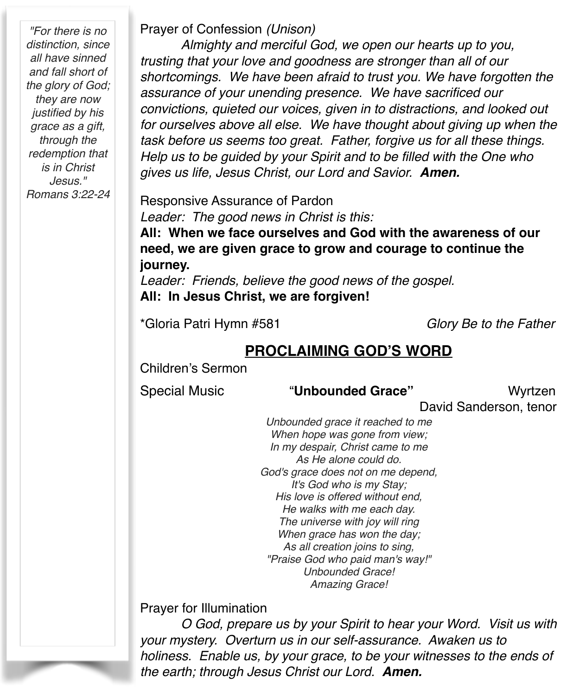*"For there is no distinction, since all have sinned and fall short of the glory of God; they are now justified by his grace as a gift, through the redemption that is in Christ Jesus." Romans 3:22-24* Prayer of Confession *(Unison)* 

*Almighty and merciful God, we open our hearts up to you, trusting that your love and goodness are stronger than all of our shortcomings. We have been afraid to trust you. We have forgotten the assurance of your unending presence. We have sacrificed our convictions, quieted our voices, given in to distractions, and looked out for ourselves above all else. We have thought about giving up when the task before us seems too great. Father, forgive us for all these things. Help us to be guided by your Spirit and to be filled with the One who gives us life, Jesus Christ, our Lord and Savior. Amen.*

Responsive Assurance of Pardon *Leader: The good news in Christ is this:*

**All: When we face ourselves and God with the awareness of our need, we are given grace to grow and courage to continue the journey.**

*Leader: Friends, believe the good news of the gospel.* **All: In Jesus Christ, we are forgiven!**

\*Gloria Patri Hymn #581 *Glory Be to the Father*

### **PROCLAIMING GOD'S WORD**

Children's Sermon

#### Special Music "**Unbounded Grace"** Wyrtzen

David Sanderson, tenor

*Unbounded grace it reached to me When hope was gone from view; In my despair, Christ came to me As He alone could do. God's grace does not on me depend, It's God who is my Stay; His love is offered without end, He walks with me each day. The universe with joy will ring When grace has won the day; As all creation joins to sing, "Praise God who paid man's way!" Unbounded Grace! Amazing Grace!*

Prayer for Illumination

*O God, prepare us by your Spirit to hear your Word. Visit us with your mystery. Overturn us in our self-assurance. Awaken us to holiness. Enable us, by your grace, to be your witnesses to the ends of the earth; through Jesus Christ our Lord. Amen.*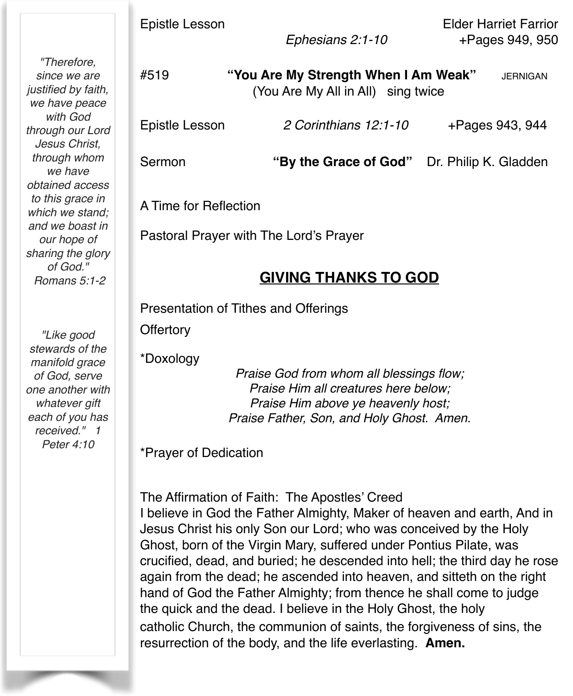Epistle Lesson Elder Harriet Farrior  *Ephesians 2:1-10* +Pages 949, 950

*"Therefore, since we are justified by faith, we have peace with God through our Lord Jesus Christ, through whom we have obtained access to this grace in which we stand; and we boast in our hope of sharing the glory of God." Romans 5:1-2*

*"Like good stewards of the manifold grace of God, serve one another with whatever gift each of you has received." 1 Peter 4:10*

#519 **"You Are My Strength When I Am Weak"** JERNIGAN (You Are My All in All) sing twice Epistle Lesson *2 Corinthians 12:1-10* +Pages 943, 944 Sermon **"By the Grace of God"** Dr. Philip K. Gladden

A Time for Reflection

Pastoral Prayer with The Lord's Prayer

#### **GIVING THANKS TO GOD**

Presentation of Tithes and Offerings

**Offertory** 

\*Doxology

*Praise God from whom all blessings flow; Praise Him all creatures here below; Praise Him above ye heavenly host; Praise Father, Son, and Holy Ghost. Amen.*

\*Prayer of Dedication

The Affirmation of Faith: The Apostles' Creed I believe in God the Father Almighty, Maker of heaven and earth, And in Jesus Christ his only Son our Lord; who was conceived by the Holy Ghost, born of the Virgin Mary, suffered under Pontius Pilate, was crucified, dead, and buried; he descended into hell; the third day he rose again from the dead; he ascended into heaven, and sitteth on the right hand of God the Father Almighty; from thence he shall come to judge the quick and the dead. I believe in the Holy Ghost, the holy catholic Church, the communion of saints, the forgiveness of sins, the resurrection of the body, and the life everlasting. **Amen.**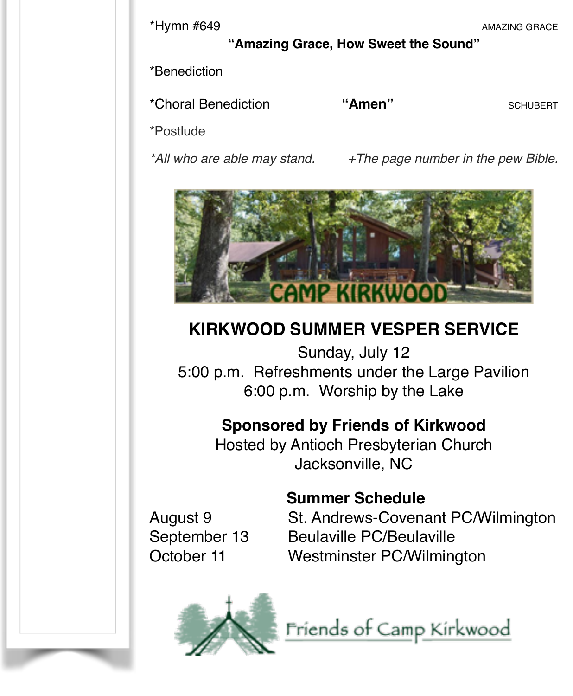\*Hymn #649 AMAZING GRACE

**"Amazing Grace, How Sweet the Sound"**

\*Benediction

\*Choral Benediction **"Amen" SCHUBERT SCHUBERT** 

\*Postlude

*\*All who are able may stand. +The page number in the pew Bible.*



# **KIRKWOOD SUMMER VESPER SERVICE**

Sunday, July 12 5:00 p.m. Refreshments under the Large Pavilion 6:00 p.m. Worship by the Lake

# **Sponsored by Friends of Kirkwood**

Hosted by Antioch Presbyterian Church Jacksonville, NC

# **Summer Schedule**

August 9! ! St. Andrews-Covenant PC/Wilmington September 13 Beulaville PC/Beulaville October 11 Westminster PC/Wilmington



Friends of Camp Kirkwood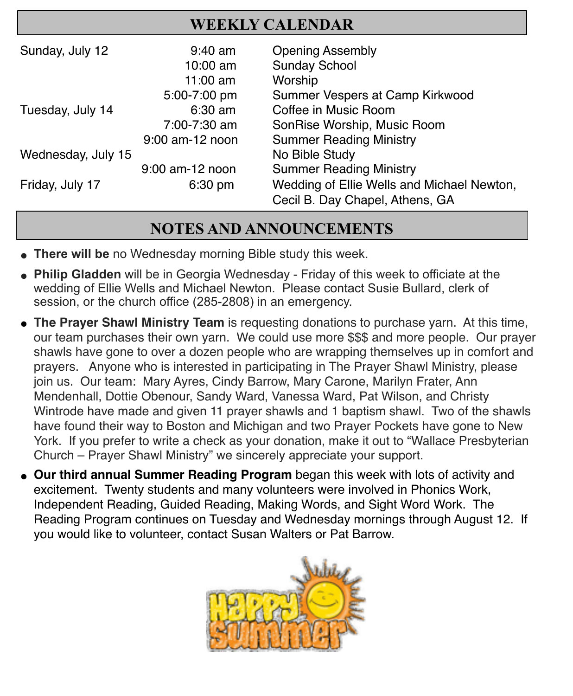# **WEEKLY CALENDAR**

| Sunday, July 12    | $9:40$ am       | <b>Opening Assembly</b>                    |
|--------------------|-----------------|--------------------------------------------|
|                    | 10:00 am        | <b>Sunday School</b>                       |
|                    | $11:00$ am      | Worship                                    |
|                    | 5:00-7:00 pm    | Summer Vespers at Camp Kirkwood            |
| Tuesday, July 14   | $6:30$ am       | Coffee in Music Room                       |
|                    | 7:00-7:30 am    | SonRise Worship, Music Room                |
|                    | 9:00 am-12 noon | <b>Summer Reading Ministry</b>             |
| Wednesday, July 15 |                 | No Bible Study                             |
|                    | 9:00 am-12 noon | <b>Summer Reading Ministry</b>             |
| Friday, July 17    | $6:30$ pm       | Wedding of Ellie Wells and Michael Newton, |
|                    |                 | Cecil B. Day Chapel, Athens, GA            |

## **NOTES AND ANNOUNCEMENTS**

- **There will be** no Wednesday morning Bible study this week.
- **Philip Gladden** will be in Georgia Wednesday Friday of this week to officiate at the wedding of Ellie Wells and Michael Newton. Please contact Susie Bullard, clerk of session, or the church office (285-2808) in an emergency.
- **The Prayer Shawl Ministry Team** is requesting donations to purchase yarn. At this time, our team purchases their own yarn. We could use more \$\$\$ and more people. Our prayer shawls have gone to over a dozen people who are wrapping themselves up in comfort and prayers. Anyone who is interested in participating in The Prayer Shawl Ministry, please join us. Our team: Mary Ayres, Cindy Barrow, Mary Carone, Marilyn Frater, Ann Mendenhall, Dottie Obenour, Sandy Ward, Vanessa Ward, Pat Wilson, and Christy Wintrode have made and given 11 prayer shawls and 1 baptism shawl. Two of the shawls have found their way to Boston and Michigan and two Prayer Pockets have gone to New York. If you prefer to write a check as your donation, make it out to "Wallace Presbyterian Church – Prayer Shawl Ministry" we sincerely appreciate your support.
- **. Our third annual Summer Reading Program** began this week with lots of activity and excitement. Twenty students and many volunteers were involved in Phonics Work, Independent Reading, Guided Reading, Making Words, and Sight Word Work. The Reading Program continues on Tuesday and Wednesday mornings through August 12. If you would like to volunteer, contact Susan Walters or Pat Barrow.